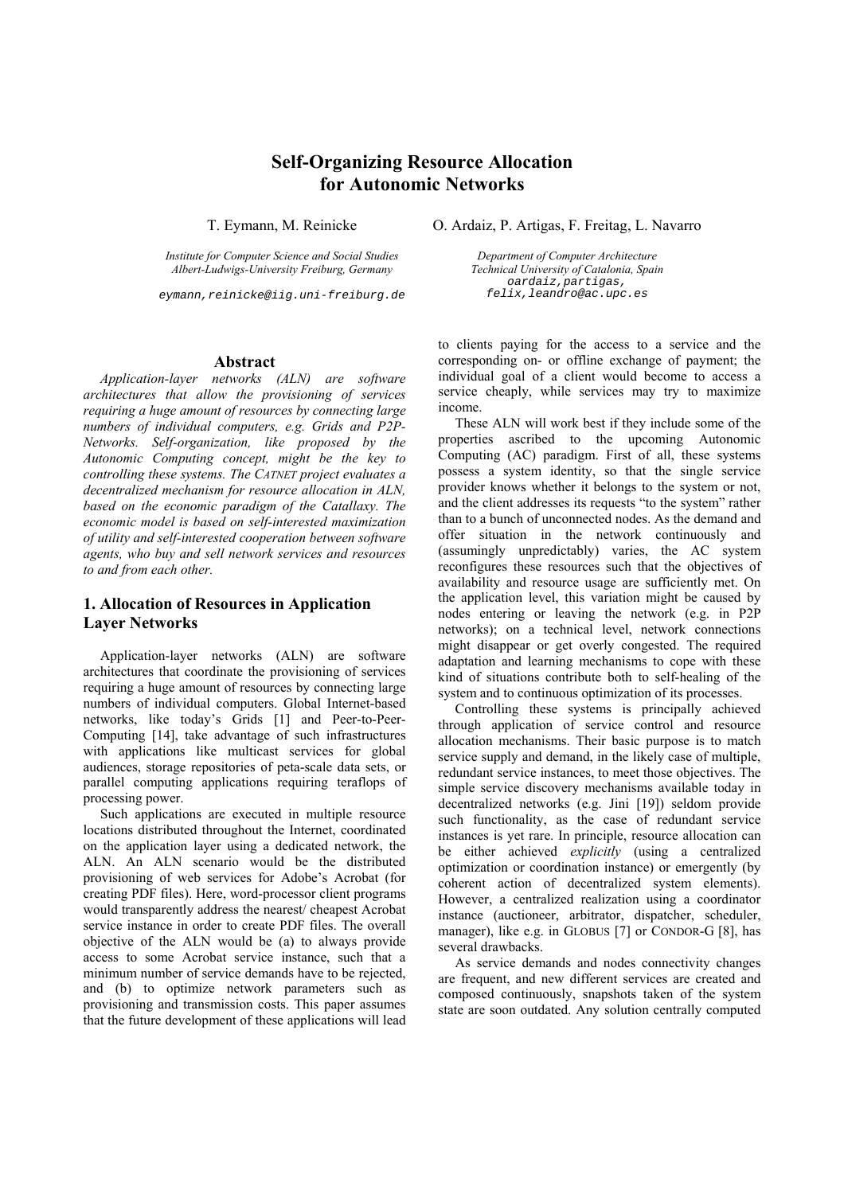# **Self-Organizing Resource Allocation for Autonomic Networks**

T. Eymann, M. Reinicke

*Institute for Computer Science and Social Studies Albert-Ludwigs-University Freiburg, Germany* 

eymann,reinicke@iig.uni-freiburg.de

#### **Abstract**

*Application-layer networks (ALN) are software architectures that allow the provisioning of services requiring a huge amount of resources by connecting large numbers of individual computers, e.g. Grids and P2P-Networks. Self-organization, like proposed by the Autonomic Computing concept, might be the key to controlling these systems. The CATNET project evaluates a decentralized mechanism for resource allocation in ALN, based on the economic paradigm of the Catallaxy. The economic model is based on self-interested maximization of utility and self-interested cooperation between software agents, who buy and sell network services and resources to and from each other.* 

## **1. Allocation of Resources in Application Layer Networks**

Application-layer networks (ALN) are software architectures that coordinate the provisioning of services requiring a huge amount of resources by connecting large numbers of individual computers. Global Internet-based networks, like today's Grids [1] and Peer-to-Peer-Computing [14], take advantage of such infrastructures with applications like multicast services for global audiences, storage repositories of peta-scale data sets, or parallel computing applications requiring teraflops of processing power.

Such applications are executed in multiple resource locations distributed throughout the Internet, coordinated on the application layer using a dedicated network, the ALN. An ALN scenario would be the distributed provisioning of web services for Adobe's Acrobat (for creating PDF files). Here, word-processor client programs would transparently address the nearest/ cheapest Acrobat service instance in order to create PDF files. The overall objective of the ALN would be (a) to always provide access to some Acrobat service instance, such that a minimum number of service demands have to be rejected, and (b) to optimize network parameters such as provisioning and transmission costs. This paper assumes that the future development of these applications will lead

O. Ardaiz, P. Artigas, F. Freitag, L. Navarro

*Department of Computer Architecture Technical University of Catalonia, Spain*  oardaiz,partigas, felix,leandro@ac.upc.es

to clients paying for the access to a service and the corresponding on- or offline exchange of payment; the individual goal of a client would become to access a service cheaply, while services may try to maximize income.

These ALN will work best if they include some of the properties ascribed to the upcoming Autonomic Computing (AC) paradigm. First of all, these systems possess a system identity, so that the single service provider knows whether it belongs to the system or not, and the client addresses its requests "to the system" rather than to a bunch of unconnected nodes. As the demand and offer situation in the network continuously and (assumingly unpredictably) varies, the AC system reconfigures these resources such that the objectives of availability and resource usage are sufficiently met. On the application level, this variation might be caused by nodes entering or leaving the network (e.g. in P2P networks); on a technical level, network connections might disappear or get overly congested. The required adaptation and learning mechanisms to cope with these kind of situations contribute both to self-healing of the system and to continuous optimization of its processes.

Controlling these systems is principally achieved through application of service control and resource allocation mechanisms. Their basic purpose is to match service supply and demand, in the likely case of multiple. redundant service instances, to meet those objectives. The simple service discovery mechanisms available today in decentralized networks (e.g. Jini [19]) seldom provide such functionality, as the case of redundant service instances is yet rare. In principle, resource allocation can be either achieved *explicitly* (using a centralized optimization or coordination instance) or emergently (by coherent action of decentralized system elements). However, a centralized realization using a coordinator instance (auctioneer, arbitrator, dispatcher, scheduler, manager), like e.g. in GLOBUS [7] or CONDOR-G [8], has several drawbacks.

As service demands and nodes connectivity changes are frequent, and new different services are created and composed continuously, snapshots taken of the system state are soon outdated. Any solution centrally computed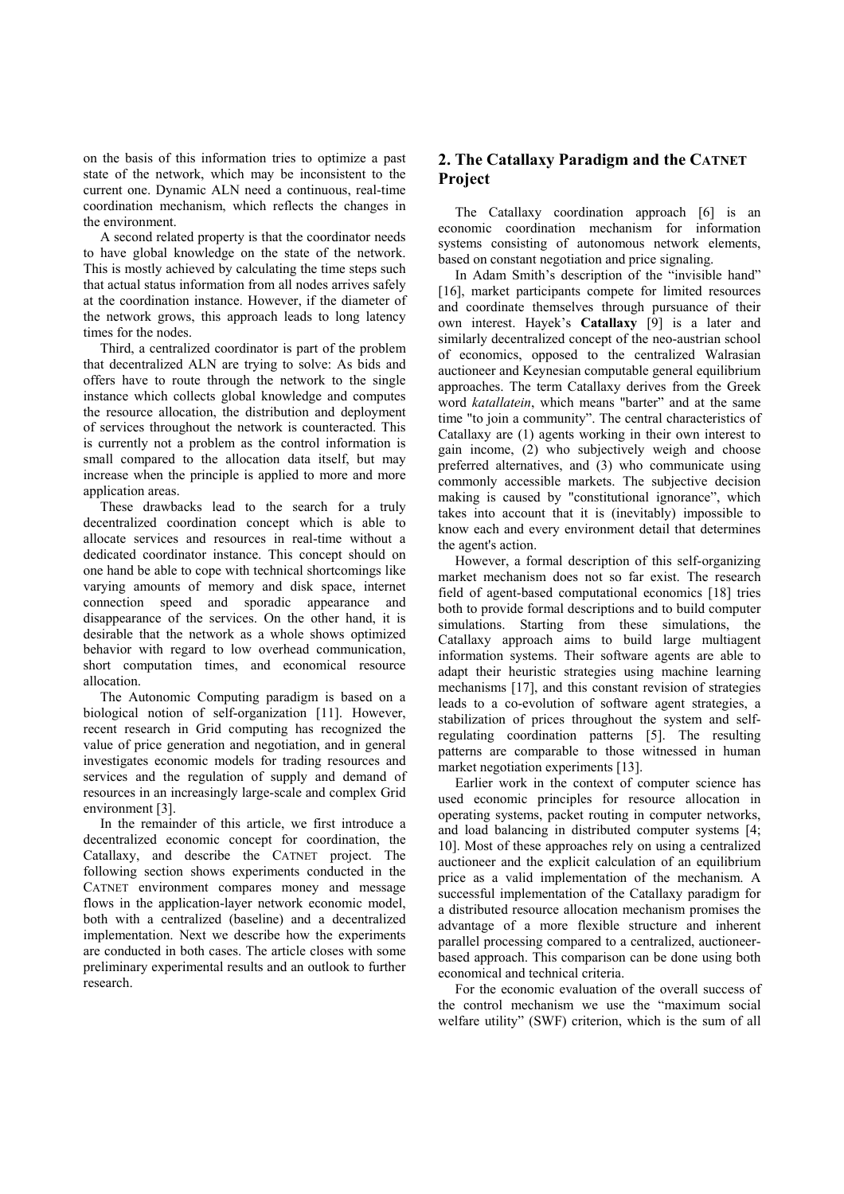on the basis of this information tries to optimize a past state of the network, which may be inconsistent to the current one. Dynamic ALN need a continuous, real-time coordination mechanism, which reflects the changes in the environment.

A second related property is that the coordinator needs to have global knowledge on the state of the network. This is mostly achieved by calculating the time steps such that actual status information from all nodes arrives safely at the coordination instance. However, if the diameter of the network grows, this approach leads to long latency times for the nodes.

Third, a centralized coordinator is part of the problem that decentralized ALN are trying to solve: As bids and offers have to route through the network to the single instance which collects global knowledge and computes the resource allocation, the distribution and deployment of services throughout the network is counteracted. This is currently not a problem as the control information is small compared to the allocation data itself, but may increase when the principle is applied to more and more application areas.

These drawbacks lead to the search for a truly decentralized coordination concept which is able to allocate services and resources in real-time without a dedicated coordinator instance. This concept should on one hand be able to cope with technical shortcomings like varying amounts of memory and disk space, internet connection speed and sporadic appearance and disappearance of the services. On the other hand, it is desirable that the network as a whole shows optimized behavior with regard to low overhead communication, short computation times, and economical resource allocation.

The Autonomic Computing paradigm is based on a biological notion of self-organization [11]. However, recent research in Grid computing has recognized the value of price generation and negotiation, and in general investigates economic models for trading resources and services and the regulation of supply and demand of resources in an increasingly large-scale and complex Grid environment [3].

In the remainder of this article, we first introduce a decentralized economic concept for coordination, the Catallaxy, and describe the CATNET project. The following section shows experiments conducted in the CATNET environment compares money and message flows in the application-layer network economic model, both with a centralized (baseline) and a decentralized implementation. Next we describe how the experiments are conducted in both cases. The article closes with some preliminary experimental results and an outlook to further research.

# **2. The Catallaxy Paradigm and the CATNET Project**

The Catallaxy coordination approach [6] is an economic coordination mechanism for information systems consisting of autonomous network elements, based on constant negotiation and price signaling.

In Adam Smith's description of the "invisible hand" [16], market participants compete for limited resources and coordinate themselves through pursuance of their own interest. Hayek's **Catallaxy** [9] is a later and similarly decentralized concept of the neo-austrian school of economics, opposed to the centralized Walrasian auctioneer and Keynesian computable general equilibrium approaches. The term Catallaxy derives from the Greek word *katallatein*, which means "barter" and at the same time "to join a community". The central characteristics of Catallaxy are (1) agents working in their own interest to gain income, (2) who subjectively weigh and choose preferred alternatives, and (3) who communicate using commonly accessible markets. The subjective decision making is caused by "constitutional ignorance", which takes into account that it is (inevitably) impossible to know each and every environment detail that determines the agent's action.

However, a formal description of this self-organizing market mechanism does not so far exist. The research field of agent-based computational economics [18] tries both to provide formal descriptions and to build computer simulations. Starting from these simulations, the Catallaxy approach aims to build large multiagent information systems. Their software agents are able to adapt their heuristic strategies using machine learning mechanisms [17], and this constant revision of strategies leads to a co-evolution of software agent strategies, a stabilization of prices throughout the system and selfregulating coordination patterns [5]. The resulting patterns are comparable to those witnessed in human market negotiation experiments [13].

Earlier work in the context of computer science has used economic principles for resource allocation in operating systems, packet routing in computer networks, and load balancing in distributed computer systems [4; 10]. Most of these approaches rely on using a centralized auctioneer and the explicit calculation of an equilibrium price as a valid implementation of the mechanism. A successful implementation of the Catallaxy paradigm for a distributed resource allocation mechanism promises the advantage of a more flexible structure and inherent parallel processing compared to a centralized, auctioneerbased approach. This comparison can be done using both economical and technical criteria.

For the economic evaluation of the overall success of the control mechanism we use the "maximum social welfare utility" (SWF) criterion, which is the sum of all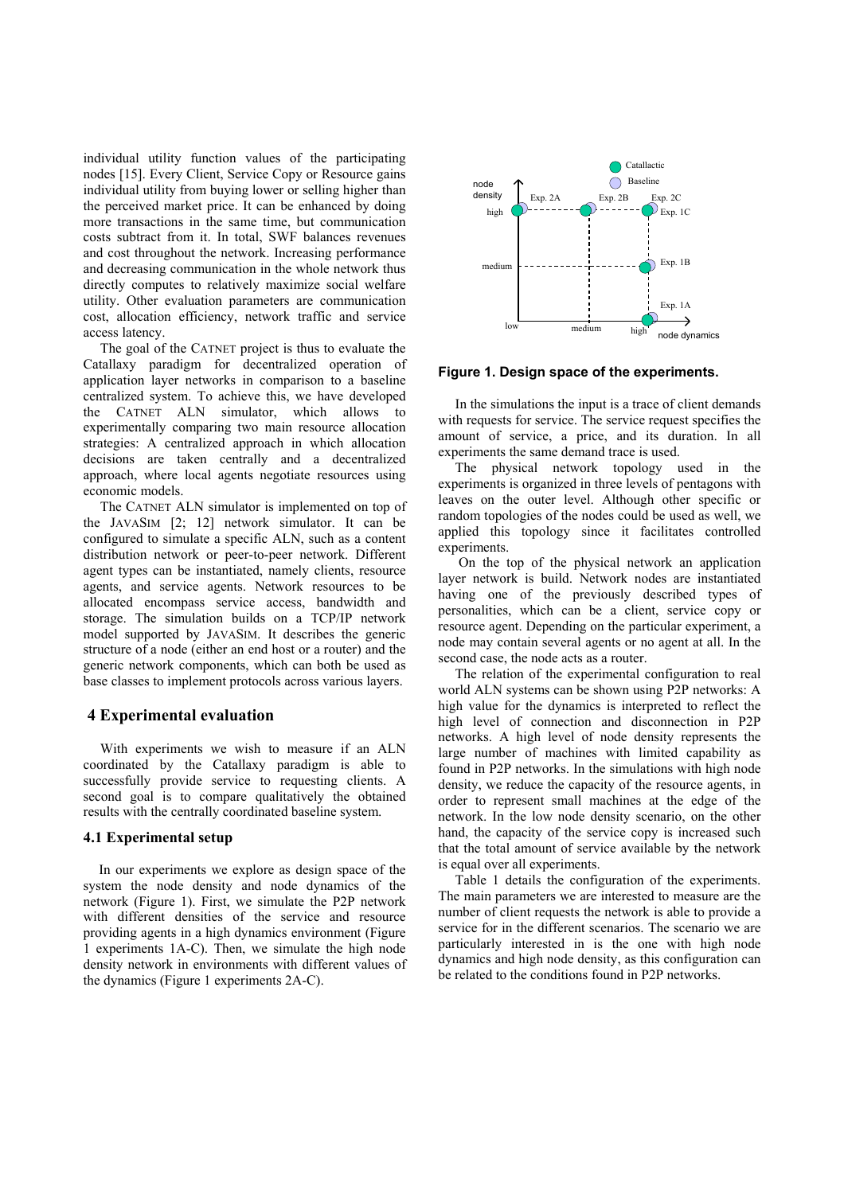individual utility function values of the participating nodes [15]. Every Client, Service Copy or Resource gains individual utility from buying lower or selling higher than the perceived market price. It can be enhanced by doing more transactions in the same time, but communication costs subtract from it. In total, SWF balances revenues and cost throughout the network. Increasing performance and decreasing communication in the whole network thus directly computes to relatively maximize social welfare utility. Other evaluation parameters are communication cost, allocation efficiency, network traffic and service access latency.

The goal of the CATNET project is thus to evaluate the Catallaxy paradigm for decentralized operation of application layer networks in comparison to a baseline centralized system. To achieve this, we have developed the CATNET ALN simulator, which allows to experimentally comparing two main resource allocation strategies: A centralized approach in which allocation decisions are taken centrally and a decentralized approach, where local agents negotiate resources using economic models.

The CATNET ALN simulator is implemented on top of the JAVASIM [2; 12] network simulator. It can be configured to simulate a specific ALN, such as a content distribution network or peer-to-peer network. Different agent types can be instantiated, namely clients, resource agents, and service agents. Network resources to be allocated encompass service access, bandwidth and storage. The simulation builds on a TCP/IP network model supported by JAVASIM. It describes the generic structure of a node (either an end host or a router) and the generic network components, which can both be used as base classes to implement protocols across various layers.

#### **4 Experimental evaluation**

With experiments we wish to measure if an ALN coordinated by the Catallaxy paradigm is able to successfully provide service to requesting clients. A second goal is to compare qualitatively the obtained results with the centrally coordinated baseline system.

#### **4.1 Experimental setup**

In our experiments we explore as design space of the system the node density and node dynamics of the network (Figure 1). First, we simulate the P2P network with different densities of the service and resource providing agents in a high dynamics environment (Figure 1 experiments 1A-C). Then, we simulate the high node density network in environments with different values of the dynamics (Figure 1 experiments 2A-C).



#### **Figure 1. Design space of the experiments.**

In the simulations the input is a trace of client demands with requests for service. The service request specifies the amount of service, a price, and its duration. In all experiments the same demand trace is used.

The physical network topology used in the experiments is organized in three levels of pentagons with leaves on the outer level. Although other specific or random topologies of the nodes could be used as well, we applied this topology since it facilitates controlled experiments.

 On the top of the physical network an application layer network is build. Network nodes are instantiated having one of the previously described types of personalities, which can be a client, service copy or resource agent. Depending on the particular experiment, a node may contain several agents or no agent at all. In the second case, the node acts as a router.

The relation of the experimental configuration to real world ALN systems can be shown using P2P networks: A high value for the dynamics is interpreted to reflect the high level of connection and disconnection in P2P networks. A high level of node density represents the large number of machines with limited capability as found in P2P networks. In the simulations with high node density, we reduce the capacity of the resource agents, in order to represent small machines at the edge of the network. In the low node density scenario, on the other hand, the capacity of the service copy is increased such that the total amount of service available by the network is equal over all experiments.

Table 1 details the configuration of the experiments. The main parameters we are interested to measure are the number of client requests the network is able to provide a service for in the different scenarios. The scenario we are particularly interested in is the one with high node dynamics and high node density, as this configuration can be related to the conditions found in P2P networks.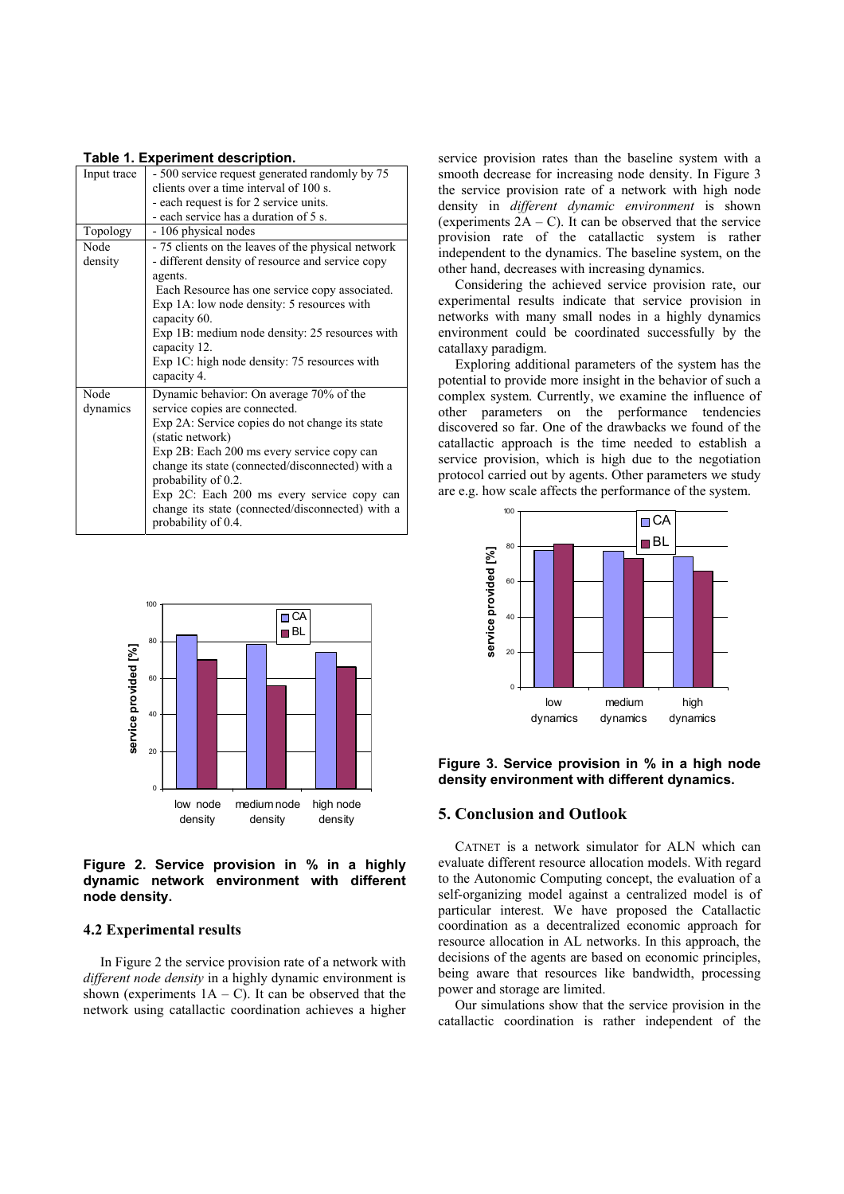| Input trace | - 500 service request generated randomly by 75     |
|-------------|----------------------------------------------------|
|             | clients over a time interval of 100 s.             |
|             | - each request is for 2 service units.             |
|             | - each service has a duration of 5 s.              |
| Topology    | - 106 physical nodes                               |
| Node        | - 75 clients on the leaves of the physical network |
| density     | - different density of resource and service copy   |
|             | agents.                                            |
|             | Each Resource has one service copy associated.     |
|             | Exp 1A: low node density: 5 resources with         |
|             | capacity 60.                                       |
|             | Exp 1B: medium node density: 25 resources with     |
|             | capacity 12.                                       |
|             | Exp 1C: high node density: 75 resources with       |
|             | capacity 4.                                        |
| Node        | Dynamic behavior: On average 70% of the            |
| dynamics    | service copies are connected.                      |
|             | Exp 2A: Service copies do not change its state     |
|             | (static network)                                   |
|             | Exp 2B: Each 200 ms every service copy can         |
|             | change its state (connected/disconnected) with a   |
|             | probability of 0.2.                                |
|             | Exp 2C: Each 200 ms every service copy can         |
|             | change its state (connected/disconnected) with a   |
|             | probability of 0.4.                                |



**Figure 2. Service provision in % in a highly dynamic network environment with different node density.** 

#### **4.2 Experimental results**

In Figure 2 the service provision rate of a network with *different node density* in a highly dynamic environment is shown (experiments  $1A - C$ ). It can be observed that the network using catallactic coordination achieves a higher

service provision rates than the baseline system with a smooth decrease for increasing node density. In Figure 3 the service provision rate of a network with high node density in *different dynamic environment* is shown (experiments  $2A - C$ ). It can be observed that the service provision rate of the catallactic system is rather independent to the dynamics. The baseline system, on the other hand, decreases with increasing dynamics.

Considering the achieved service provision rate, our experimental results indicate that service provision in networks with many small nodes in a highly dynamics environment could be coordinated successfully by the catallaxy paradigm.

Exploring additional parameters of the system has the potential to provide more insight in the behavior of such a complex system. Currently, we examine the influence of other parameters on the performance tendencies discovered so far. One of the drawbacks we found of the catallactic approach is the time needed to establish a service provision, which is high due to the negotiation protocol carried out by agents. Other parameters we study are e.g. how scale affects the performance of the system.



**Figure 3. Service provision in % in a high node density environment with different dynamics.** 

### **5. Conclusion and Outlook**

CATNET is a network simulator for ALN which can evaluate different resource allocation models. With regard to the Autonomic Computing concept, the evaluation of a self-organizing model against a centralized model is of particular interest. We have proposed the Catallactic coordination as a decentralized economic approach for resource allocation in AL networks. In this approach, the decisions of the agents are based on economic principles, being aware that resources like bandwidth, processing power and storage are limited.

Our simulations show that the service provision in the catallactic coordination is rather independent of the